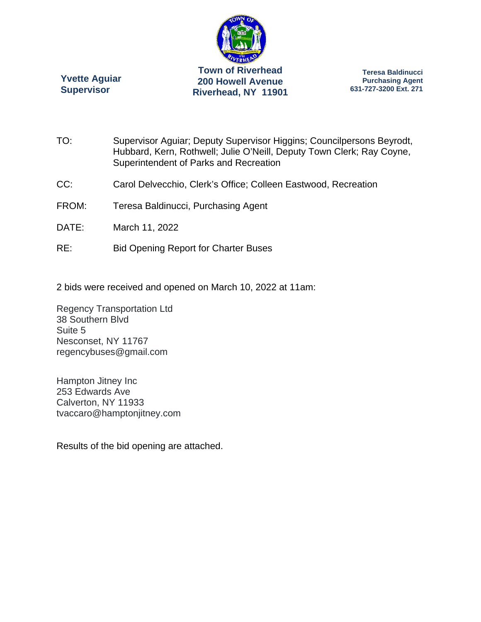

**Yvette Aguiar Supervisor** 

**Teresa Baldinucci Purchasing Agent 631-727-3200 Ext. 271** 

- TO: Supervisor Aguiar; Deputy Supervisor Higgins; Councilpersons Beyrodt, Hubbard, Kern, Rothwell; Julie O'Neill, Deputy Town Clerk; Ray Coyne, Superintendent of Parks and Recreation
- CC: Carol Delvecchio, Clerk's Office; Colleen Eastwood, Recreation
- FROM: Teresa Baldinucci, Purchasing Agent
- DATE: March 11, 2022
- RE: Bid Opening Report for Charter Buses
- 2 bids were received and opened on March 10, 2022 at 11am:

Regency Transportation Ltd 38 Southern Blvd Suite 5 Nesconset, NY 11767 regencybuses@gmail.com

Hampton Jitney Inc 253 Edwards Ave Calverton, NY 11933 tvaccaro@hamptonjitney.com

Results of the bid opening are attached.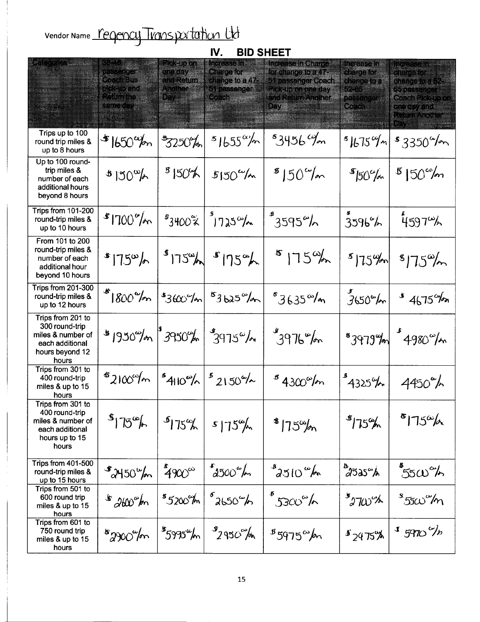Vendor Name <u>regency transportation Ut</u>o

| IV.<br><b>BID SHEET</b>                                                                                 |                                              |                                                                                      |                                                                                                     |                                                                                                                           |                                                                                       |                                                                                                                                   |  |  |  |  |  |
|---------------------------------------------------------------------------------------------------------|----------------------------------------------|--------------------------------------------------------------------------------------|-----------------------------------------------------------------------------------------------------|---------------------------------------------------------------------------------------------------------------------------|---------------------------------------------------------------------------------------|-----------------------------------------------------------------------------------------------------------------------------------|--|--|--|--|--|
| <b>Complete Manager School</b>                                                                          | Kota Ba<br><b>Rack Com</b><br>STILLE ON      | <u> Lesses d</u><br><b>DIRECTOR</b><br><u>a kath</u><br><u>Anomera</u><br>Day - 1980 | Meetingaa<br><b>Grade Cardinal</b><br>change to a 47-<br><b>Strassenger</b><br><b>South America</b> | Increase in Charge<br>for shange to a 47-<br>of passenger Coach<br>Resurancieday<br><u>an Romanong.</u><br><u> Singar</u> | listere a se<br>eratore.<br>E SI SI SERIE E<br><u> Lind</u><br>in San San Ta<br>San S | <u>langs of an element</u><br>element a la p<br>change for the<br>Banasanga<br>Gerakakalan<br><u>en se sva</u><br><b>A TAARDI</b> |  |  |  |  |  |
| Trips up to 100<br>round trip miles &<br>up to 8 hours                                                  | $*$ 1650 $\%$                                | $*3250%$                                                                             | $51655^{\circ}/m$                                                                                   | $3456$ m                                                                                                                  | $ 675^{\circ}/n $                                                                     | $$3350^{\circ}/m$                                                                                                                 |  |  |  |  |  |
| Up to 100 round-<br>trip miles &<br>number of each<br>additional hours<br>beyond 8 hours                | $30^{\circ}/h$                               | 8150%                                                                                | $5150^{\circ}/m$                                                                                    | $8150^{\circ}/m$                                                                                                          | $s_{50\%}$                                                                            | $8150^{\circ}$ m                                                                                                                  |  |  |  |  |  |
| Trips from 101-200<br>round-trip miles &<br>up to 10 hours                                              | $81700^{\circ}/m$                            | $s_{3400\%}$                                                                         | $9725^{\circ}/\sim$                                                                                 | $3595^{\circ}/h$                                                                                                          | 3596%                                                                                 | $4597^{\omega}$                                                                                                                   |  |  |  |  |  |
| From 101 to 200<br>round-trip miles &<br>number of each<br>additional hour<br>beyond 10 hours           | 1750/6                                       |                                                                                      | $s_{175\%}$ $s_{175\%}$                                                                             | $815\%$                                                                                                                   |                                                                                       | $s_{15\%}\$ $s_{175\%}$                                                                                                           |  |  |  |  |  |
| Trips from 201-300<br>round-trip miles &<br>up to 12 hours                                              | $*1800\%$                                    | $360$ /m                                                                             | $s_{3b25}$ <sup>6</sup> /or                                                                         | ${}^{8}3635^{\omega}/m$                                                                                                   | $3650^{\circ}/m$                                                                      | $145\%$                                                                                                                           |  |  |  |  |  |
| Trips from 201 to<br>300 round-trip<br>miles & number of<br>each additional<br>hours beyond 12<br>hours | $\frac{16}{3}$ 1950%   3950%                 |                                                                                      | $3975^{\circ}/\sim$                                                                                 | $1976^{\circ}/m$                                                                                                          |                                                                                       | $53979%$ $\frac{1}{2}4980%$                                                                                                       |  |  |  |  |  |
| Trips from 301 to<br>400 round-trip<br>miles & up to 15<br>hours                                        | $s_{2100\%m}$ $s_{410\%m}$ $s_{2150\%m}$     |                                                                                      |                                                                                                     | $84300^{\circ}/m$                                                                                                         | 4325%                                                                                 | $4450^{\circ}$                                                                                                                    |  |  |  |  |  |
| Trips from 301 to<br>400 round-trip<br>miles & number of<br>each additional<br>hours up to 15<br>hours  | $\frac{1}{3}$ 15 <sup>o</sup> / <sub>6</sub> | $\frac{1}{3}175\%$                                                                   | $s175^{\circ}$                                                                                      | $*175^{\circ}/n$                                                                                                          | $*15%$                                                                                | 5750h                                                                                                                             |  |  |  |  |  |
| Trips from 401-500<br>round-trip miles &<br>up to 15 hours                                              | $\frac{1}{2}$ 2450 $\frac{1}{2}$             | $490^\circ$                                                                          | $62500^\circ$                                                                                       | $3510^{\circ}$ m                                                                                                          | $\overset{\mathbf{b}}{\curvearrowright}$ 2525 $\overset{\sim}{\curvearrowright}$      | $550^{\circ}$                                                                                                                     |  |  |  |  |  |
| Trips from 501 to<br>600 round trip<br>miles & up to 15<br>hours                                        | $*200°$ m                                    | \$5200°m                                                                             | $62650^{\circ}$                                                                                     | $\frac{1}{3300}$ %                                                                                                        | $\mathcal{L}$ 2700%                                                                   | ് $5$ സ് $\%$ ന                                                                                                                   |  |  |  |  |  |
| Trips from 601 to<br>750 round trip<br>miles & up to 15<br>hours                                        | $*2900$ for                                  | $^{\mathcal{B}}$ 5995 $^{\omega}$ m                                                  | $\frac{9}{2}950^{\circ}/\pi$                                                                        | $85975^{\circ}$ m                                                                                                         | 82975%                                                                                | $15970$ %                                                                                                                         |  |  |  |  |  |